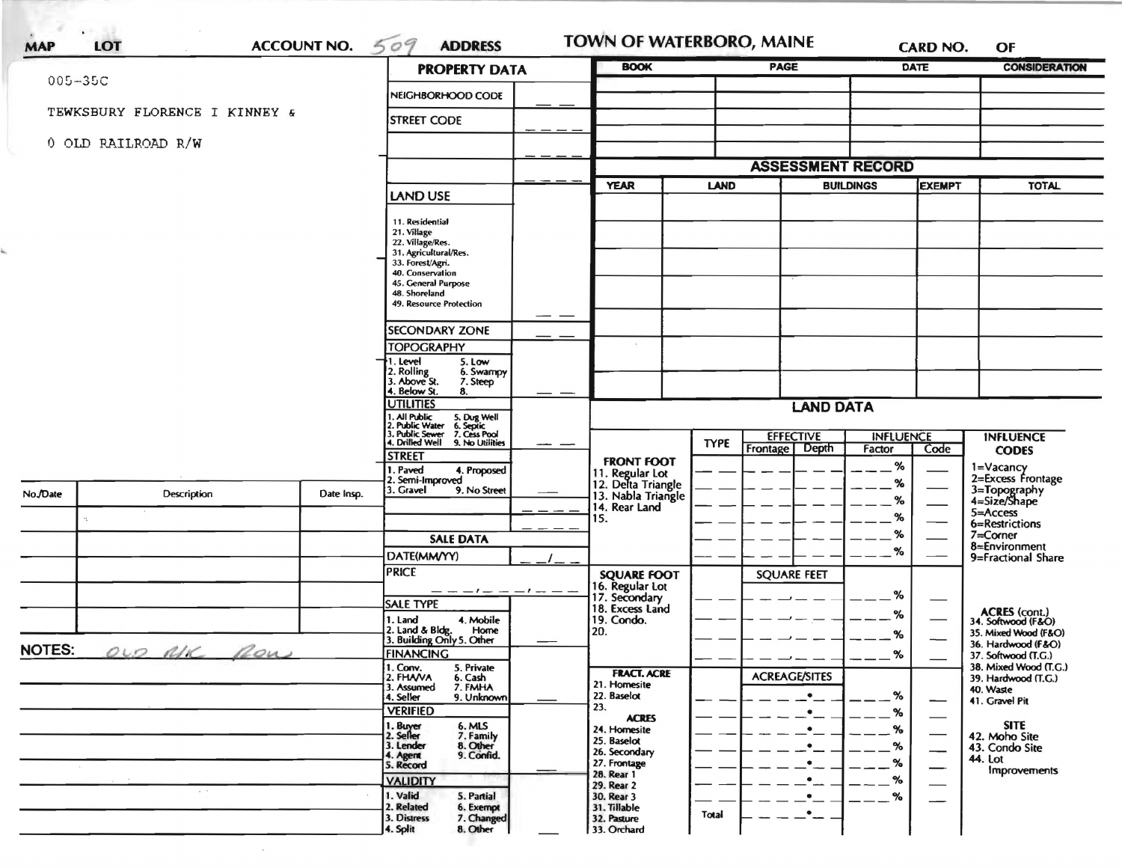|               |                                       | <b>PROPERTY DATA</b> |                                                                                                                    | <b>BOOK</b>      |                                                             | <b>PAGE</b>                     |                                                          | <b>DATE</b>   | <b>CONSIDERATION</b>     |                                              |
|---------------|---------------------------------------|----------------------|--------------------------------------------------------------------------------------------------------------------|------------------|-------------------------------------------------------------|---------------------------------|----------------------------------------------------------|---------------|--------------------------|----------------------------------------------|
| $005 - 35C$   |                                       |                      | NEIGHBORHOOD CODE                                                                                                  |                  |                                                             |                                 |                                                          |               |                          |                                              |
|               | TEWKSBURY FLORENCE I KINNEY &         |                      | <b>STREET CODE</b>                                                                                                 |                  |                                                             |                                 |                                                          |               |                          |                                              |
|               |                                       |                      |                                                                                                                    |                  |                                                             |                                 |                                                          |               |                          |                                              |
|               | 0 OLD RAILROAD R/W                    |                      |                                                                                                                    |                  |                                                             |                                 |                                                          |               |                          |                                              |
|               |                                       |                      |                                                                                                                    |                  | <b>ASSESSMENT RECORD</b>                                    |                                 |                                                          | <b>EXEMPT</b> |                          |                                              |
|               |                                       |                      | LAND USE                                                                                                           |                  | <b>YEAR</b>                                                 | <b>BUILDINGS</b><br><b>LAND</b> |                                                          |               |                          | <b>TOTAL</b>                                 |
|               |                                       |                      | 11. Residential                                                                                                    |                  |                                                             |                                 |                                                          |               |                          |                                              |
|               |                                       |                      | 21. Village<br>22. Village/Res.                                                                                    |                  |                                                             |                                 |                                                          |               |                          |                                              |
|               |                                       |                      | 31. Agricultural/Res.<br>33. Forest/Agri.                                                                          |                  |                                                             |                                 |                                                          |               |                          |                                              |
|               |                                       |                      | 40. Conservation                                                                                                   |                  |                                                             |                                 |                                                          |               |                          |                                              |
|               |                                       |                      | 45. General Purpose<br>48. Shoreland                                                                               |                  |                                                             |                                 |                                                          |               |                          |                                              |
|               |                                       |                      | 49. Resource Protection                                                                                            |                  |                                                             |                                 |                                                          |               |                          |                                              |
|               |                                       |                      | <b>SECONDARY ZONE</b>                                                                                              |                  |                                                             |                                 |                                                          |               |                          |                                              |
|               |                                       |                      | <b>TOPOGRAPHY</b>                                                                                                  |                  |                                                             |                                 |                                                          |               |                          |                                              |
|               |                                       |                      | 1. Level<br>5. Low<br>:. Rolling<br>:. Above St.<br>6. Swampy                                                      |                  |                                                             |                                 |                                                          |               |                          |                                              |
|               |                                       |                      | 7. Steep<br>4. Below St.<br>8.                                                                                     |                  |                                                             |                                 |                                                          |               |                          |                                              |
|               |                                       | <b>UTILITIES</b>     |                                                                                                                    | <b>LAND DATA</b> |                                                             |                                 |                                                          |               |                          |                                              |
|               |                                       |                      | 1. All Public<br>2. Public Water<br>3. Public Sewer<br>4. Drilled Well<br>5. Dug Well<br>6. Septic<br>7. Cess Pool |                  |                                                             |                                 | <b>EFFECTIVE</b><br><b>INFLUENCE</b><br><b>INFLUENCE</b> |               |                          |                                              |
|               |                                       |                      | 9. No Utilities<br><b>STREET</b>                                                                                   |                  |                                                             | <b>TYPE</b>                     | <b>Frontage</b><br><b>Depth</b>                          | Factor        | Code                     | <b>CODES</b>                                 |
|               |                                       |                      | . Paved<br>4. Proposed                                                                                             |                  | <b>FRONT FOOT</b>                                           |                                 |                                                          | %             |                          | 1=Vacancy                                    |
| No./Date      | Description                           | Date Insp.           | 2. Semi-Improved<br>3. Gravel<br>9. No Street                                                                      |                  | 11. Regular Lot<br>12. Delta Triangle<br>13. Nabla Triangle |                                 |                                                          | %             |                          | 2=Excess Frontage                            |
|               |                                       |                      |                                                                                                                    |                  | 14. Rear Land                                               |                                 |                                                          | $\%$          |                          | 3=Topography<br>4=Size/Shape<br>5=Access     |
|               |                                       |                      |                                                                                                                    |                  | 15.                                                         |                                 |                                                          | %             |                          | 6=Restrictions                               |
|               |                                       |                      | <b>SALE DATA</b>                                                                                                   |                  |                                                             |                                 |                                                          | %<br>%        |                          | 7=Corner<br>8=Environment                    |
|               |                                       |                      | DATE(MM/YY)                                                                                                        |                  |                                                             |                                 |                                                          |               |                          | 9=Fractional Share                           |
|               |                                       |                      | <b>PRICE</b>                                                                                                       |                  | <b>SQUARE FOOT</b><br>16. Regular Lot                       |                                 | <b>SQUARE FEET</b>                                       |               |                          |                                              |
|               |                                       |                      | <b>SALE TYPE</b>                                                                                                   |                  | 17. Secondary<br>18. Excess Land                            |                                 |                                                          | %             |                          |                                              |
|               |                                       |                      | 1. Land<br>4. Mobile                                                                                               |                  | 19. Condo.                                                  |                                 |                                                          | ℅             |                          | ACRES (cont.)<br>34. Softwood (F&O)          |
|               |                                       |                      | 2. Land & Bldg. Home<br>3. Building Only 5. Other<br>Home                                                          |                  | 20.                                                         |                                 |                                                          | %             |                          | 35. Mixed Wood (F&O)<br>36. Hardwood (F&O)   |
| <b>NOTES:</b> | OUD AIK ROW                           |                      | <b>FINANCING</b>                                                                                                   |                  |                                                             |                                 |                                                          | %             |                          | 37. Softwood (T.G.)<br>38. Mixed Wood (T.G.) |
|               |                                       |                      | 1. Conv.<br>5. Private<br>2. FHAVA<br>6. Cash                                                                      |                  | <b>FRACT. ACRE</b><br>21. Homesite                          |                                 | <b>ACREAGE/SITES</b>                                     |               |                          | 39. Hardwood (T.G.)                          |
|               |                                       |                      | 7. FMHA<br>3. Assumed<br>9. Unknown<br>4. Seller                                                                   |                  | 22. Baselot                                                 |                                 | $\bullet$                                                | $-$ %         |                          | 40. Waste<br>41. Gravel Pit                  |
|               |                                       |                      | <b>VERIFIED</b>                                                                                                    |                  | 23.<br><b>ACRES</b>                                         |                                 | ٠                                                        | $-$ %         |                          |                                              |
|               |                                       |                      | 1. Buyer<br>6. MLS<br>2. Seller<br>7. Family                                                                       |                  | 24. Homesite<br>25. Baselot                                 |                                 | $\bullet$                                                | $-$ %         |                          | <b>SITE</b><br>42. Moho Site                 |
|               |                                       |                      | 3. Lender<br>8. Other<br>9. Confid.<br>I. Agent                                                                    |                  | 26. Secondary                                               |                                 | ٠                                                        | $-$ %         | $\overline{\phantom{0}}$ | 43. Condo Site<br><b>44. Lot</b>             |
|               |                                       |                      | 5. Record                                                                                                          |                  | 27. Frontage<br>28. Rear 1                                  |                                 | ٠                                                        | $-$ %         |                          | <b>Improvements</b>                          |
|               | $\mathcal{M} \rightarrow \mathcal{M}$ |                      | <b>VALIDITY</b><br>1. Valid<br>5. Partial                                                                          |                  | 29. Rear 2<br>30. Rear 3                                    |                                 | ٠                                                        | %<br>$\%$     |                          |                                              |
|               |                                       |                      | 2. Related<br>6. Exempt<br>3. Distress<br>7. Changed                                                               |                  | 31. Tillable<br>32. Pasture                                 | <b>Total</b>                    | $\bullet$ $\_$                                           |               |                          |                                              |
|               |                                       |                      |                                                                                                                    |                  |                                                             |                                 |                                                          |               |                          |                                              |

 $\mathcal{L}_{\text{max}}$